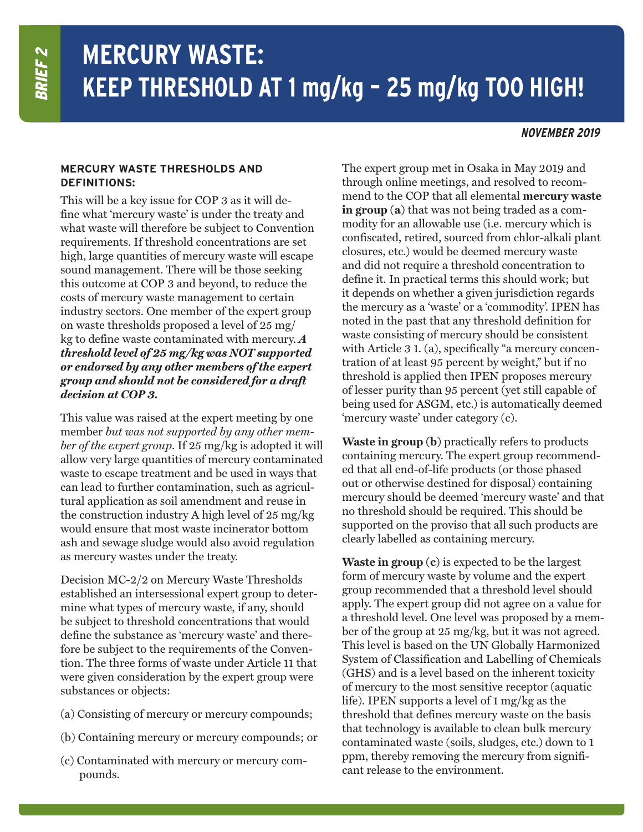## **MERCURY WASTE: KEEP THRESHOLD AT 1 mg/kg – 25 mg/kg TOO HIGH!**

## **NOVEMBER 2019**

## **MERCURY WASTE THRESHOLDS AND DEFINITIONS:**

This will be a key issue for COP 3 as it will define what 'mercury waste' is under the treaty and what waste will therefore be subject to Convention requirements. If threshold concentrations are set high, large quantities of mercury waste will escape sound management. There will be those seeking this outcome at COP 3 and beyond, to reduce the costs of mercury waste management to certain industry sectors. One member of the expert group on waste thresholds proposed a level of 25 mg/ kg to define waste contaminated with mercury. *A threshold level of 25 mg/kg was NOT supported or endorsed by any other members of the expert group and should not be considered for a draft decision at COP 3.*

This value was raised at the expert meeting by one member *but was not supported by any other member of the expert group*. If 25 mg/kg is adopted it will allow very large quantities of mercury contaminated waste to escape treatment and be used in ways that can lead to further contamination, such as agricultural application as soil amendment and reuse in the construction industry A high level of 25 mg/kg would ensure that most waste incinerator bottom ash and sewage sludge would also avoid regulation as mercury wastes under the treaty.

Decision MC-2/2 on Mercury Waste Thresholds established an intersessional expert group to determine what types of mercury waste, if any, should be subject to threshold concentrations that would define the substance as 'mercury waste' and therefore be subject to the requirements of the Convention. The three forms of waste under Article 11 that were given consideration by the expert group were substances or objects:

- (a) Consisting of mercury or mercury compounds;
- (b) Containing mercury or mercury compounds; or
- (c) Contaminated with mercury or mercury compounds.

The expert group met in Osaka in May 2019 and through online meetings, and resolved to recommend to the COP that all elemental **mercury waste in group (a)** that was not being traded as a commodity for an allowable use (i.e. mercury which is confiscated, retired, sourced from chlor-alkali plant closures, etc.) would be deemed mercury waste and did not require a threshold concentration to define it. In practical terms this should work; but it depends on whether a given jurisdiction regards the mercury as a 'waste' or a 'commodity'. IPEN has noted in the past that any threshold definition for waste consisting of mercury should be consistent with Article 3 1. (a), specifically "a mercury concentration of at least 95 percent by weight," but if no threshold is applied then IPEN proposes mercury of lesser purity than 95 percent (yet still capable of being used for ASGM, etc.) is automatically deemed 'mercury waste' under category (c).

**Waste in group (b)** practically refers to products containing mercury. The expert group recommended that all end-of-life products (or those phased out or otherwise destined for disposal) containing mercury should be deemed 'mercury waste' and that no threshold should be required. This should be supported on the proviso that all such products are clearly labelled as containing mercury.

**Waste in group (c)** is expected to be the largest form of mercury waste by volume and the expert group recommended that a threshold level should apply. The expert group did not agree on a value for a threshold level. One level was proposed by a member of the group at 25 mg/kg, but it was not agreed. This level is based on the UN Globally Harmonized System of Classification and Labelling of Chemicals (GHS) and is a level based on the inherent toxicity of mercury to the most sensitive receptor (aquatic life). IPEN supports a level of 1 mg/kg as the threshold that defines mercury waste on the basis that technology is available to clean bulk mercury contaminated waste (soils, sludges, etc.) down to 1 ppm, thereby removing the mercury from significant release to the environment.